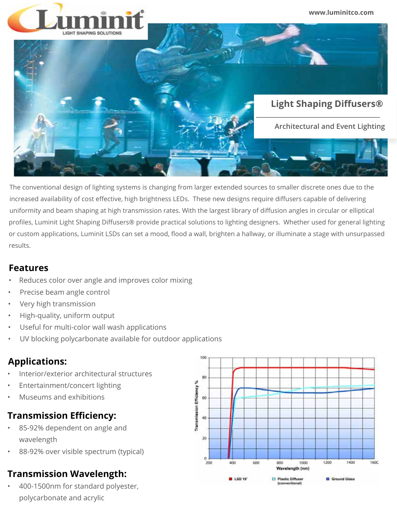

The conventional design of lighting systems is changing from larger extended sources to smaller discrete ones due to the increased availability of cost effective, high brightness LEDs. These new designs require diffusers capable of delivering uniformity and beam shaping at high transmission rates. With the largest library of diffusion angles in circular or elliptical profiles, Luminit Light Shaping Diffusers® provide practical solutions to lighting designers. Whether used for general lighting or custom applications, Luminit LSDs can set a mood, flood a wall, brighten a hallway, or illuminate a stage with unsurpassed results.

#### **Features**

- Reduces color over angle and improves color mixing
- Precise beam angle control
- Very high transmission
- High-quality, uniform output
- Useful for multi-color wall wash applications
- UV blocking polycarbonate available for outdoor applications

# **Applications:**

- Interior/exterior architectural structures
- Entertainment/concert lighting
- Museums and exhibitions

# **Transmission Efficiency:**

- 85-92% dependent on angle and wavelength
- 88-92% over visible spectrum (typical)

# **Transmission Wavelength:**

• 400-1500nm for standard polyester, polycarbonate and acrylic